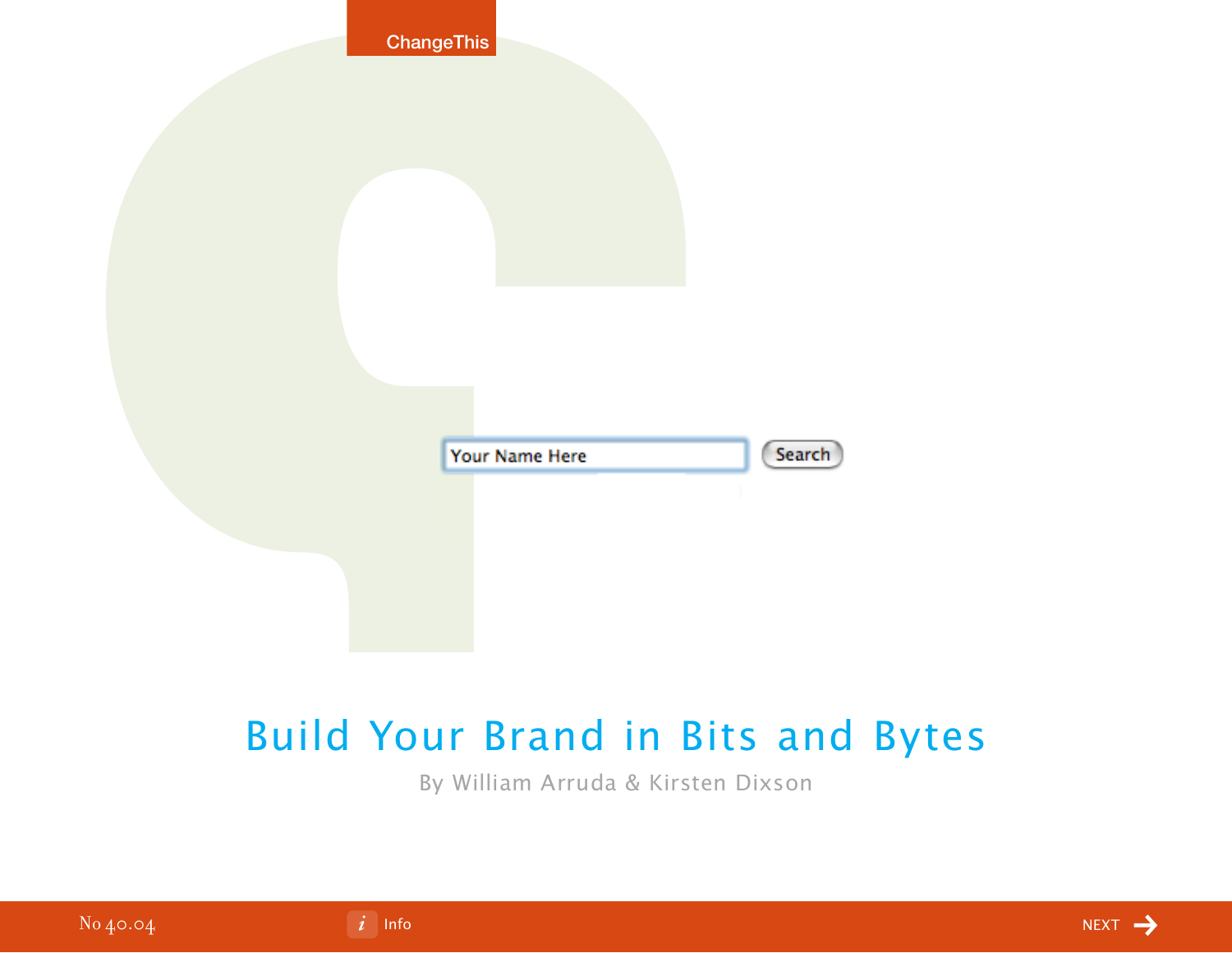|          | <b>ChangeThis</b>                                                               |             |
|----------|---------------------------------------------------------------------------------|-------------|
|          |                                                                                 |             |
|          | Search<br>Your Name Here                                                        |             |
|          |                                                                                 |             |
|          | <b>Build Your Brand in Bits and Bytes</b><br>By William Arruda & Kirsten Dixson |             |
| No 40.04 | $\left  i \right $ Info                                                         | <b>NEXT</b> |

## Build Your Brand in Bits and Bytes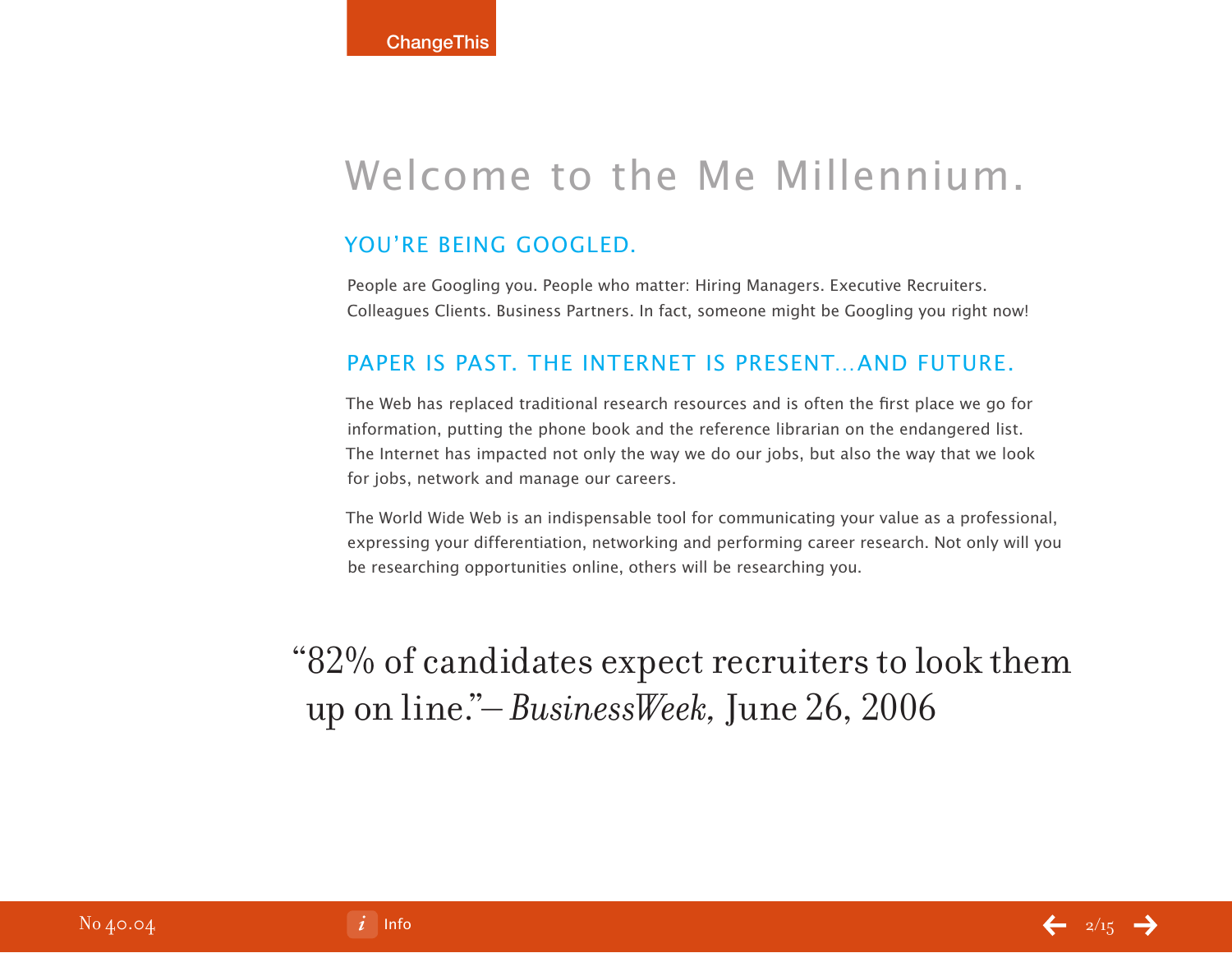## Welcome to the Me Millennium.

## YOU'RE BEING GOOGLED.

People are Googling you. People who matter: Hiring Managers. Executive Recruiters. Colleagues Clients. Business Partners. In fact, someone might be Googling you right now!

## PAPER IS PAST. THE INTERNET IS PRESENT AND FUTURE.

The Web has replaced traditional research resources and is often the first place we go for information, putting the phone book and the reference librarian on the endangered list. The Internet has impacted not only the way we do our jobs, but also the way that we look for jobs, network and manage our careers.

The World Wide Web is an indispensable tool for communicating your value as a professional, expressing your differentiation, networking and performing career research. Not only will you be researching opportunities online, others will be researching you.

"82% of candidates expect recruiters to look them up on line."– *BusinessWeek,* June 26, 2006

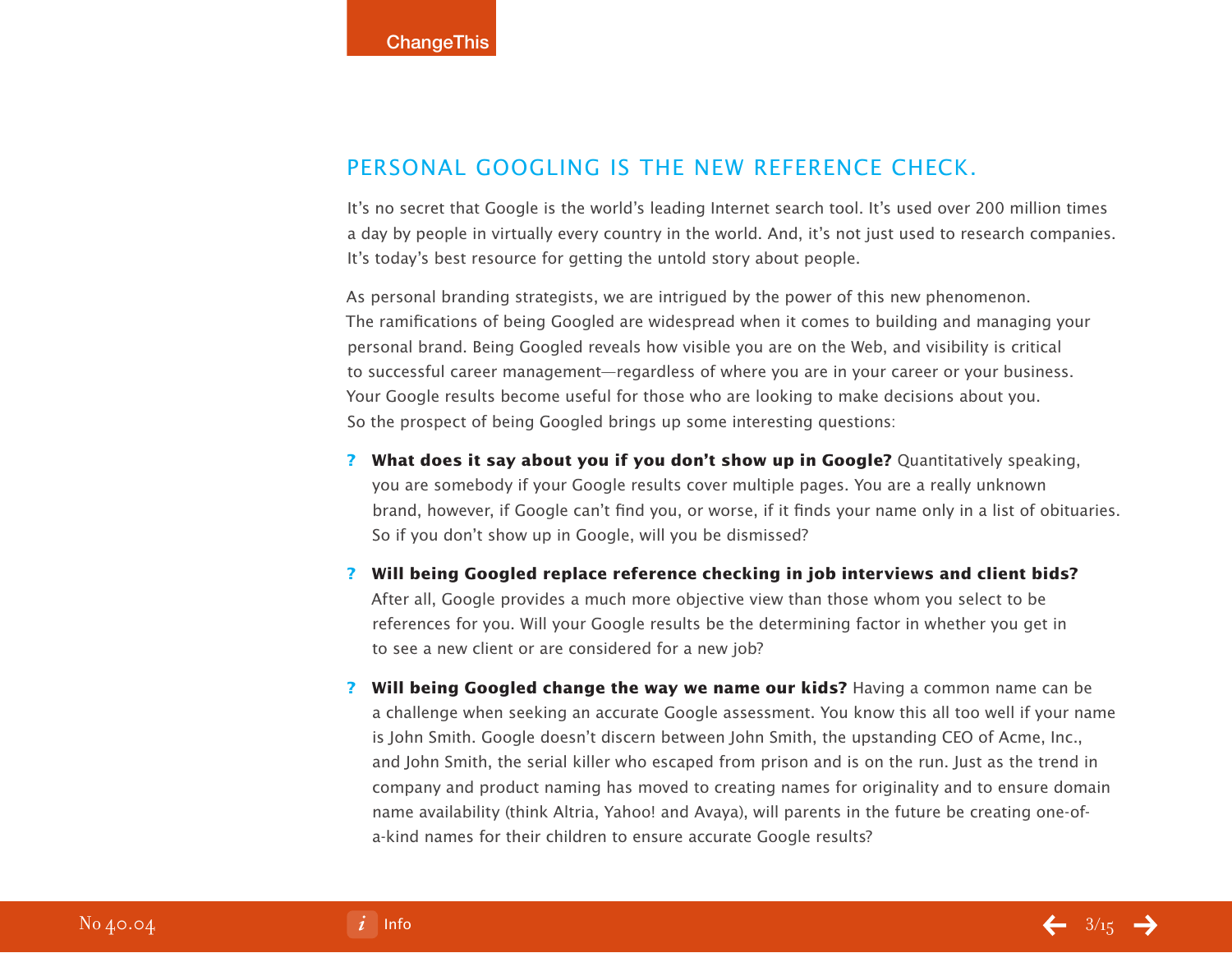## PERSONAL GOOGLING IS THE NEW REFERENCE CHECK.

It's no secret that Google is the world's leading Internet search tool. It's used over 200 million times a day by people in virtually every country in the world. And, it's not just used to research companies. It's today's best resource for getting the untold story about people.

As personal branding strategists, we are intrigued by the power of this new phenomenon. The ramifications of being Googled are widespread when it comes to building and managing your personal brand. Being Googled reveals how visible you are on the Web, and visibility is critical to successful career management—regardless of where you are in your career or your business. Your Google results become useful for those who are looking to make decisions about you. So the prospect of being Googled brings up some interesting questions:

- **? What does it say about you if you don't show up in Google?** Quantitatively speaking, you are somebody if your Google results cover multiple pages. You are a really unknown brand, however, if Google can't find you, or worse, if it finds your name only in a list of obituaries. So if you don't show up in Google, will you be dismissed?
- **? Will being Googled replace reference checking in job interviews and client bids?** After all, Google provides a much more objective view than those whom you select to be references for you. Will your Google results be the determining factor in whether you get in to see a new client or are considered for a new job?
- **? Will being Googled change the way we name our kids?** Having a common name can be a challenge when seeking an accurate Google assessment. You know this all too well if your name is John Smith. Google doesn't discern between John Smith, the upstanding CEO of Acme, Inc., and John Smith, the serial killer who escaped from prison and is on the run. Just as the trend in company and product naming has moved to creating names for originality and to ensure domain name availability (think Altria, Yahoo! and Avaya), will parents in the future be creating one-ofa-kind names for their children to ensure accurate Google results?

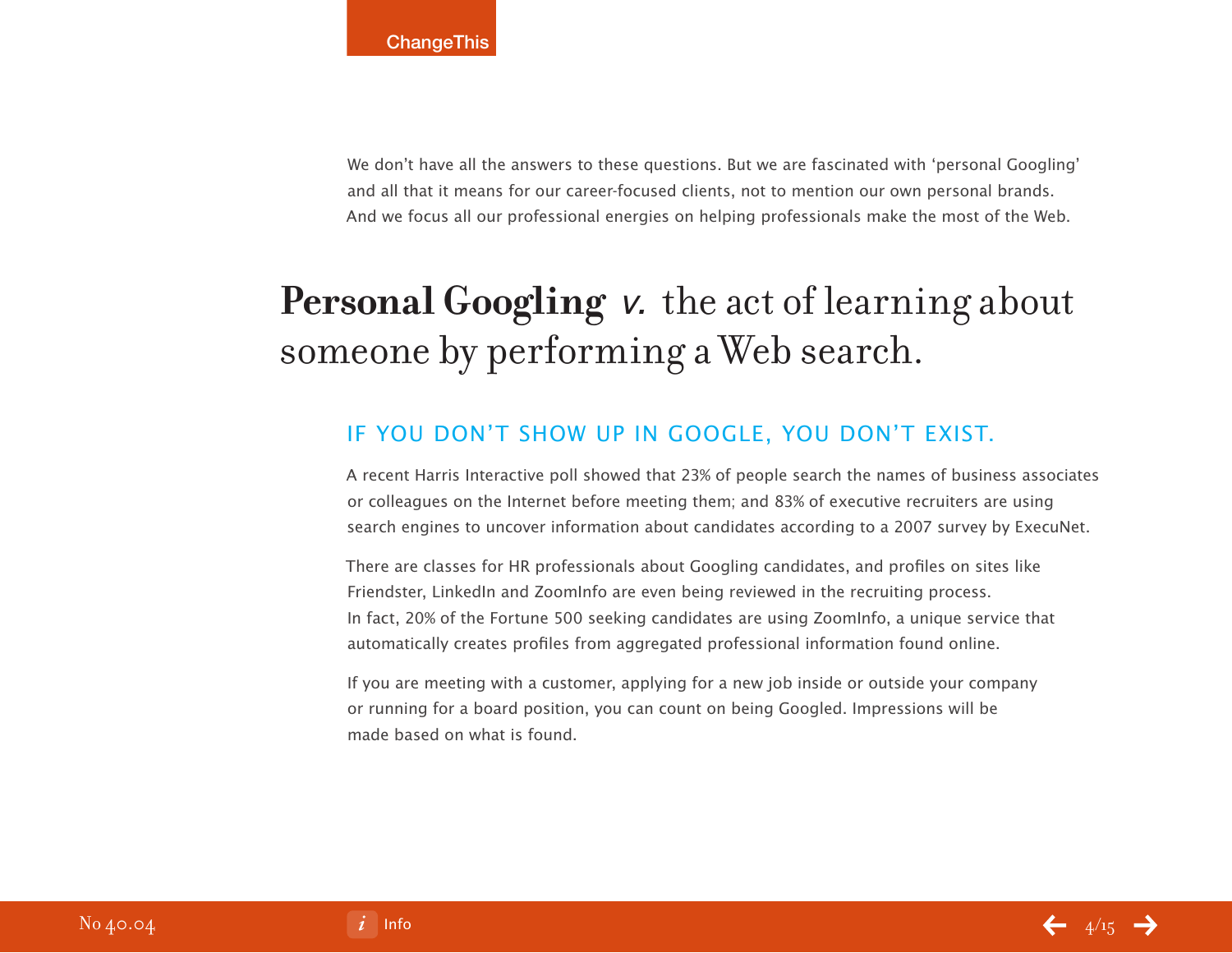We don't have all the answers to these questions. But we are fascinated with 'personal Googling' and all that it means for our career-focused clients, not to mention our own personal brands. And we focus all our professional energies on helping professionals make the most of the Web.

# **Personal Googling** v. the act of learning about someone by performing a Web search.

## If You Don't Show Up in Google, You Don't Exist.

A recent Harris Interactive poll showed that 23% of people search the names of business associates or colleagues on the Internet before meeting them; and 83% of executive recruiters are using search engines to uncover information about candidates according to a 2007 survey by ExecuNet.

There are classes for HR professionals about Googling candidates, and profiles on sites like Friendster, LinkedIn and ZoomInfo are even being reviewed in the recruiting process. In fact, 20% of the Fortune 500 seeking candidates are using ZoomInfo, a unique service that automatically creates profiles from aggregated professional information found online.

If you are meeting with a customer, applying for a new job inside or outside your company or running for a board position, you can count on being Googled. Impressions will be made based on what is found.

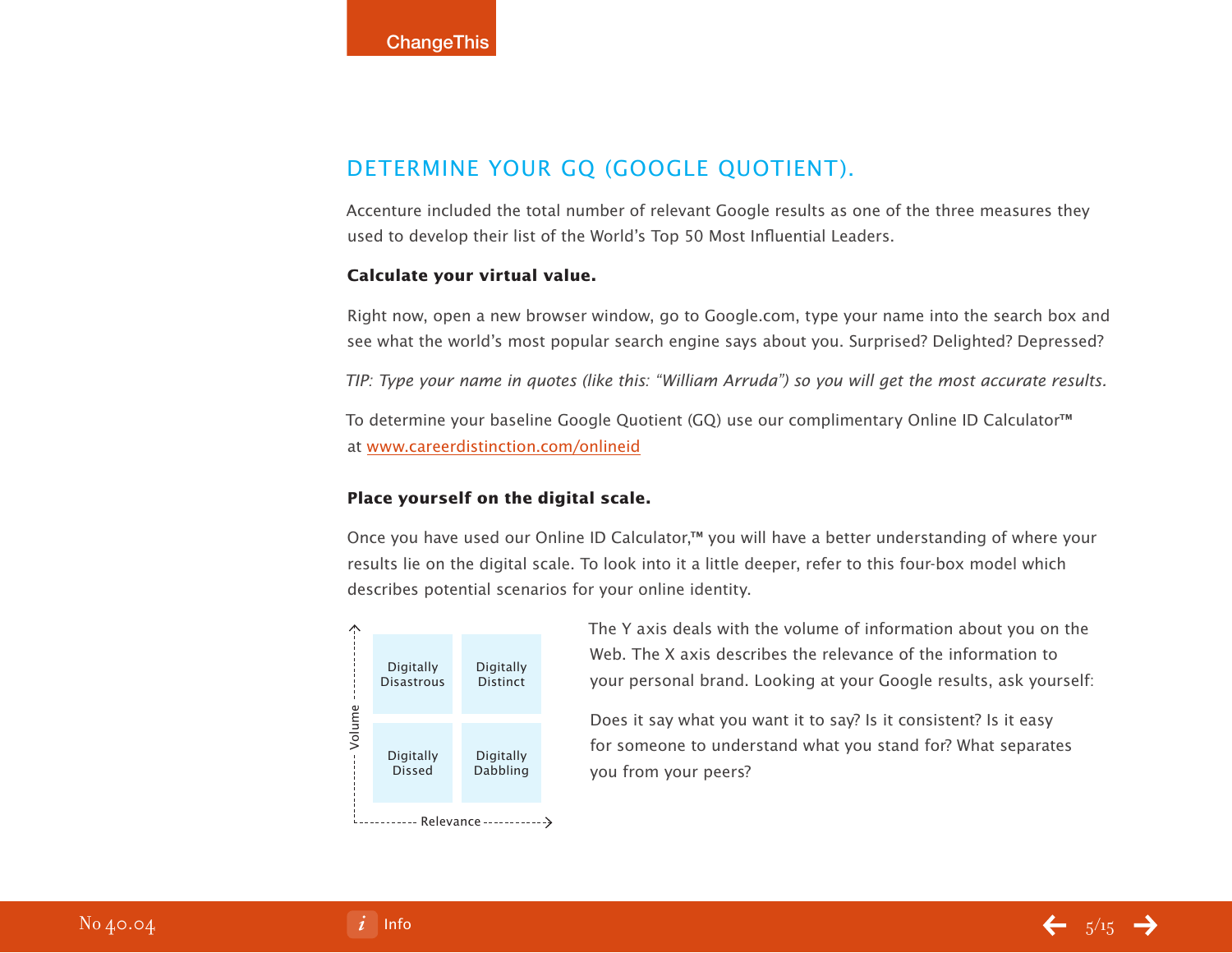## DETERMINE YOUR GO (GOOGLE QUOTIENT).

Accenture included the total number of relevant Google results as one of the three measures they used to develop their list of the World's Top 50 Most Influential Leaders.

#### **Calculate your virtual value.**

Right now, open a new browser window, go to Google.com, type your name into the search box and see what the world's most popular search engine says about you. Surprised? Delighted? Depressed?

TIP: Type your name in quotes (like this: "William Arruda") so you will get the most accurate results.

To determine your baseline Google Quotient (GQ) use our complimentary Online ID Calculator™ at [www.careerdistinction.com/onlineid](http://www.careerdistinction.com/onlineid/)

#### **Place yourself on the digital scale.**

Once you have used our Online ID Calculator,™ you will have a better understanding of where your results lie on the digital scale. To look into it a little deeper, refer to this four-box model which describes potential scenarios for your online identity.



The Y axis deals with the volume of information about you on the Web. The X axis describes the relevance of the information to your personal brand. Looking at your Google results, ask yourself:

Does it say what you want it to say? Is it consistent? Is it easy for someone to understand what you stand for? What separates you from your peers?

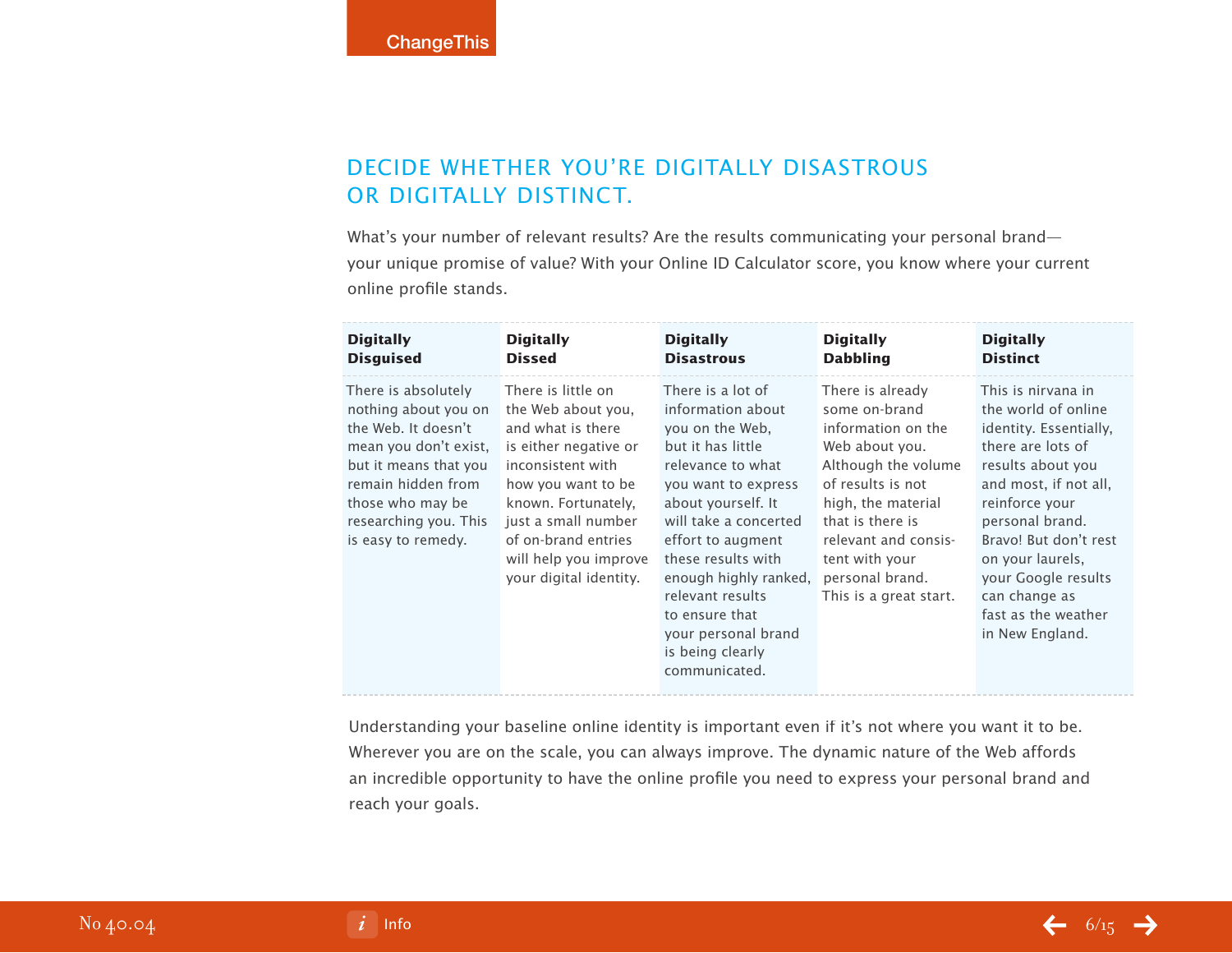## DECIDE WHETHER YOU'RE DIGITALLY DISASTROUS or Digitally Distinct.

What's your number of relevant results? Are the results communicating your personal brand your unique promise of value? With your Online ID Calculator score, you know where your current online profile stands.

| <b>Digitally</b>                                                                                                                                                                                              | <b>Digitally</b>                                                                                                                                                                                                                                          | <b>Digitally</b>                                                                                                                                                                                                                                                                                                                                | <b>Digitally</b>                                                                                                                                                                                                                                       | <b>Digitally</b>                                                                                                                                                                                                                                                                                           |
|---------------------------------------------------------------------------------------------------------------------------------------------------------------------------------------------------------------|-----------------------------------------------------------------------------------------------------------------------------------------------------------------------------------------------------------------------------------------------------------|-------------------------------------------------------------------------------------------------------------------------------------------------------------------------------------------------------------------------------------------------------------------------------------------------------------------------------------------------|--------------------------------------------------------------------------------------------------------------------------------------------------------------------------------------------------------------------------------------------------------|------------------------------------------------------------------------------------------------------------------------------------------------------------------------------------------------------------------------------------------------------------------------------------------------------------|
| <b>Disguised</b>                                                                                                                                                                                              | <b>Dissed</b>                                                                                                                                                                                                                                             | <b>Disastrous</b>                                                                                                                                                                                                                                                                                                                               | <b>Dabbling</b>                                                                                                                                                                                                                                        | <b>Distinct</b>                                                                                                                                                                                                                                                                                            |
| There is absolutely<br>nothing about you on<br>the Web. It doesn't<br>mean you don't exist,<br>but it means that you<br>remain hidden from<br>those who may be<br>researching you. This<br>is easy to remedy. | There is little on<br>the Web about you,<br>and what is there<br>is either negative or<br>inconsistent with<br>how you want to be<br>known. Fortunately,<br>just a small number<br>of on-brand entries<br>will help you improve<br>your digital identity. | There is a lot of<br>information about<br>you on the Web.<br>but it has little<br>relevance to what<br>you want to express<br>about yourself. It<br>will take a concerted<br>effort to augment<br>these results with<br>enough highly ranked,<br>relevant results<br>to ensure that<br>your personal brand<br>is being clearly<br>communicated. | There is already<br>some on-brand<br>information on the<br>Web about you.<br>Although the volume<br>of results is not<br>high, the material<br>that is there is<br>relevant and consis-<br>tent with your<br>personal brand.<br>This is a great start. | This is nirvana in<br>the world of online<br>identity. Essentially,<br>there are lots of<br>results about you<br>and most, if not all,<br>reinforce your<br>personal brand.<br>Bravo! But don't rest<br>on your laurels,<br>your Google results<br>can change as<br>fast as the weather<br>in New England. |

Understanding your baseline online identity is important even if it's not where you want it to be. Wherever you are on the scale, you can always improve. The dynamic nature of the Web affords an incredible opportunity to have the online profile you need to express your personal brand and reach your goals.

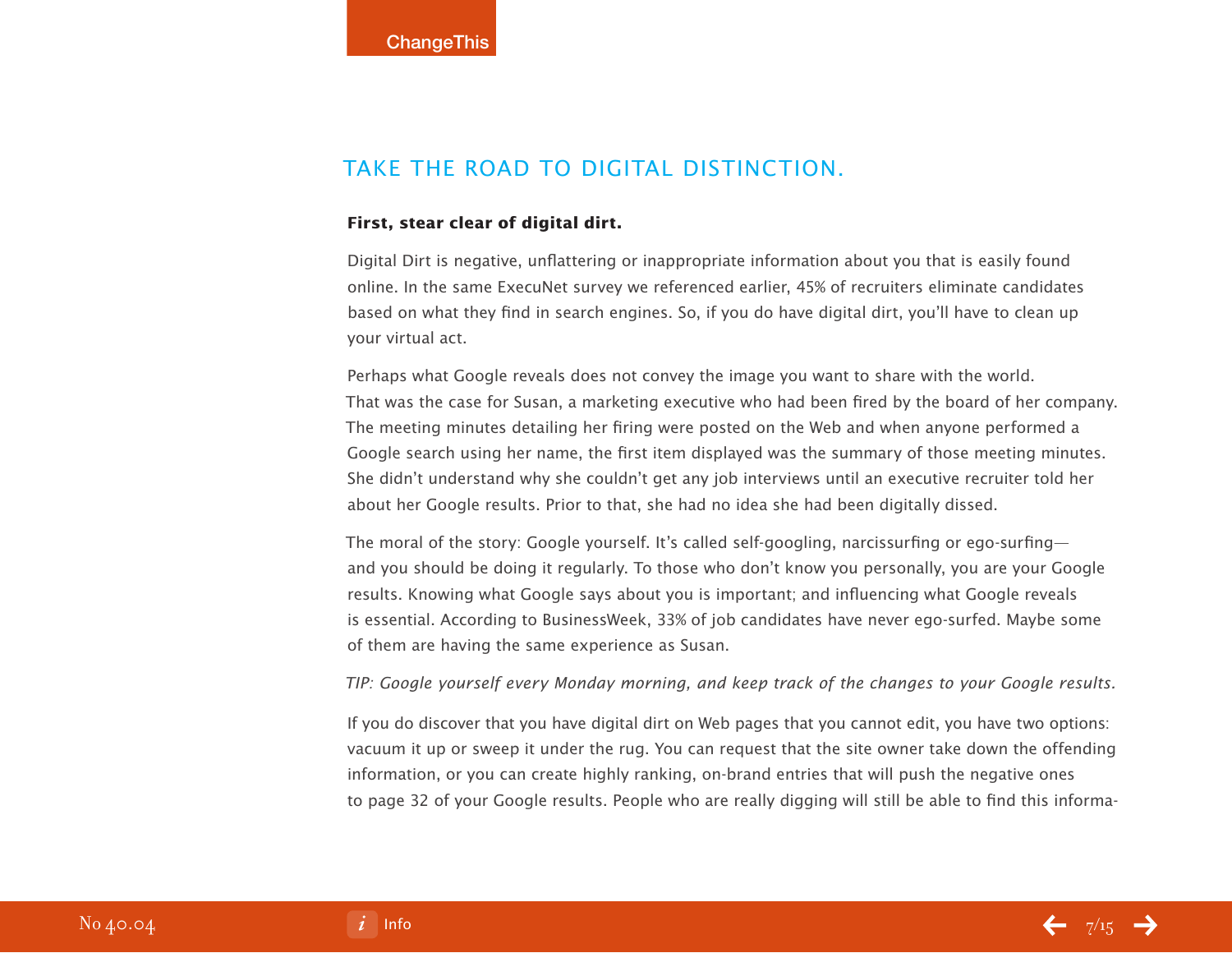## Take the Road to Digital Distinction.

#### **First, stear clear of digital dirt.**

Digital Dirt is negative, unflattering or inappropriate information about you that is easily found online. In the same ExecuNet survey we referenced earlier, 45% of recruiters eliminate candidates based on what they find in search engines. So, if you do have digital dirt, you'll have to clean up your virtual act.

Perhaps what Google reveals does not convey the image you want to share with the world. That was the case for Susan, a marketing executive who had been fired by the board of her company. The meeting minutes detailing her firing were posted on the Web and when anyone performed a Google search using her name, the first item displayed was the summary of those meeting minutes. She didn't understand why she couldn't get any job interviews until an executive recruiter told her about her Google results. Prior to that, she had no idea she had been digitally dissed.

The moral of the story: Google yourself. It's called self-googling, narcissurfing or ego-surfing and you should be doing it regularly. To those who don't know you personally, you are your Google results. Knowing what Google says about you is important; and influencing what Google reveals is essential. According to BusinessWeek, 33% of job candidates have never ego-surfed. Maybe some of them are having the same experience as Susan.

TIP: Google yourself every Monday morning, and keep track of the changes to your Google results.

If you do discover that you have digital dirt on Web pages that you cannot edit, you have two options: vacuum it up or sweep it under the rug. You can request that the site owner take down the offending information, or you can create highly ranking, on-brand entries that will push the negative ones to page 32 of your Google results. People who are really digging will still be able to find this informa-

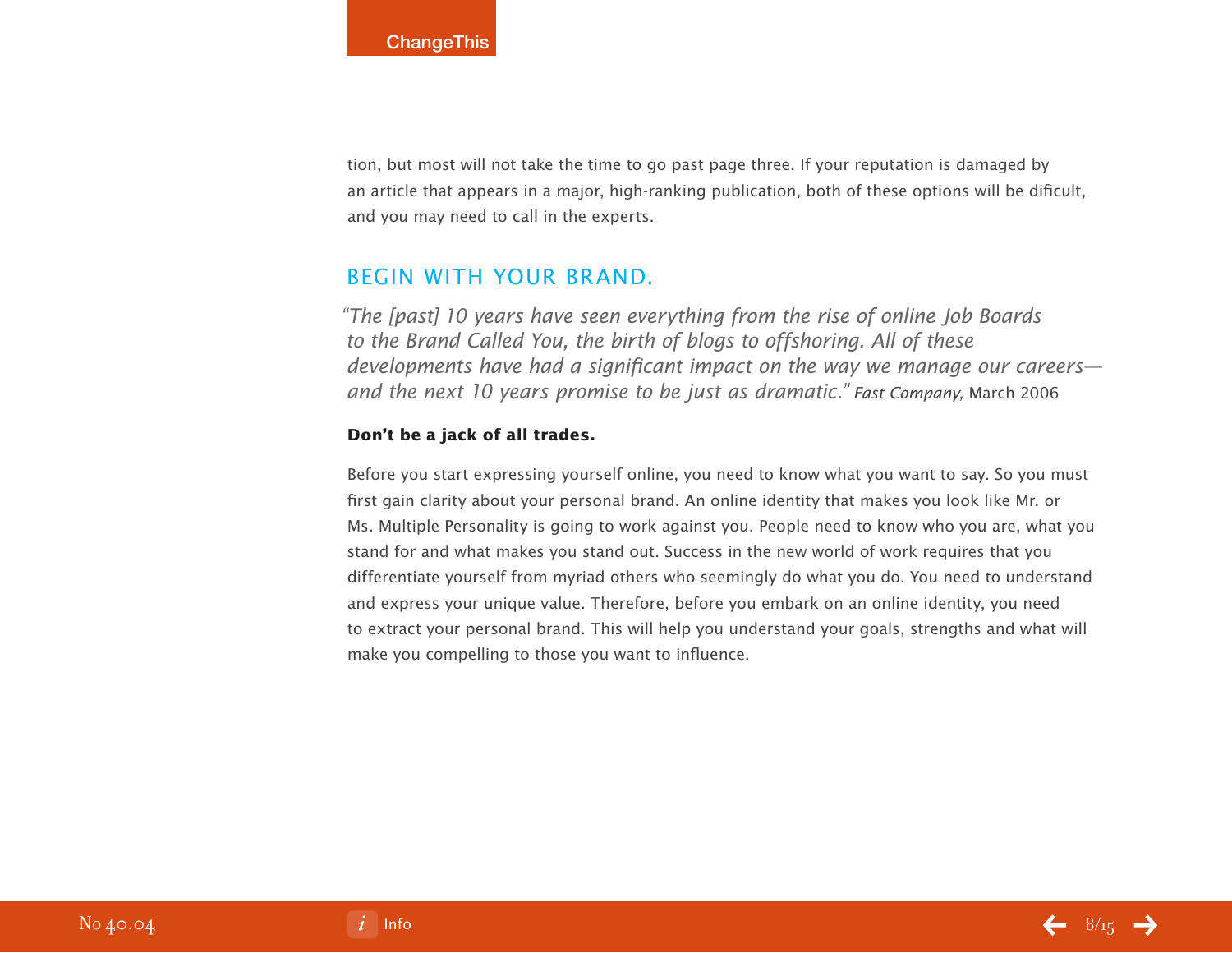tion, but most will not take the time to go past page three. If your reputation is damaged by an article that appears in a major, high-ranking publication, both of these options will be dificult, and you may need to call in the experts.

### Begin with Your Brand.

"The [past] 10 years have seen everything from the rise of online Job Boards to the Brand Called You, the birth of blogs to offshoring. All of these developments have had a significant impact on the way we manage our careers and the next 10 years promise to be just as dramatic." Fast Company, March 2006

#### **Don't be a jack of all trades.**

Before you start expressing yourself online, you need to know what you want to say. So you must first gain clarity about your personal brand. An online identity that makes you look like Mr. or Ms. Multiple Personality is going to work against you. People need to know who you are, what you stand for and what makes you stand out. Success in the new world of work requires that you differentiate yourself from myriad others who seemingly do what you do. You need to understand and express your unique value. Therefore, before you embark on an online identity, you need to extract your personal brand. This will help you understand your goals, strengths and what will make you compelling to those you want to influence.

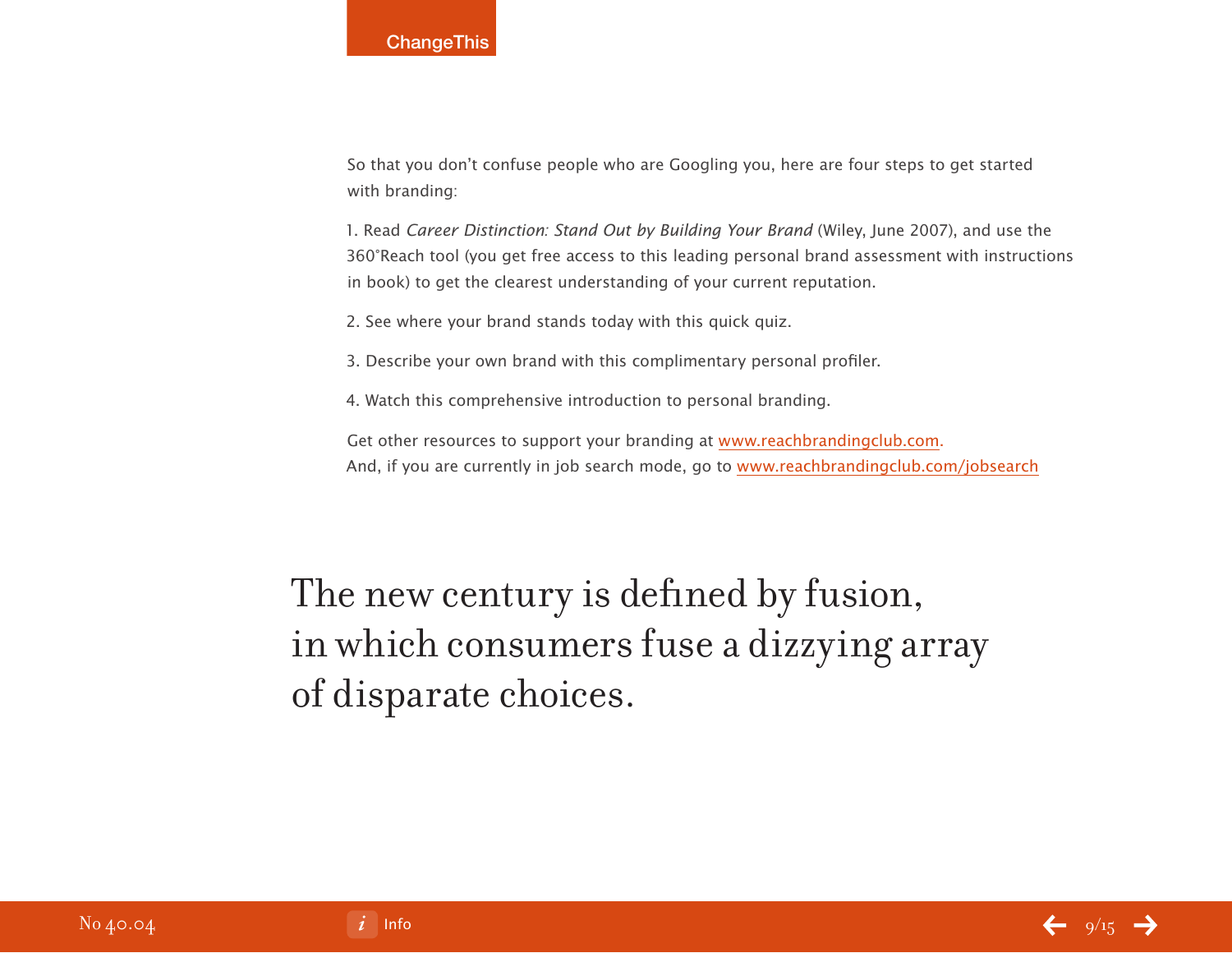So that you don't confuse people who are Googling you, here are four steps to get started with branding:

1. Read Career Distinction: Stand Out by Building Your Brand (Wiley, June 2007), and use the 360°Reach tool (you get free access to this leading personal brand assessment with instructions in book) to get the clearest understanding of your current reputation.

2. See where your brand stands today with this quick quiz.

3. Describe your own brand with this complimentary personal profiler.

4. Watch this comprehensive introduction to personal branding.

Get other resources to support your branding at [www.reachbrandingclub.com.](http://www.reachbrandingclub.com) And, if you are currently in job search mode, go to [www.reachbrandingclub.com/jobsearch](http://www.reachbrandingclub.com/job_search.php)

## The new century is defined by fusion, in which consumers fuse a dizzying array of disparate choices.

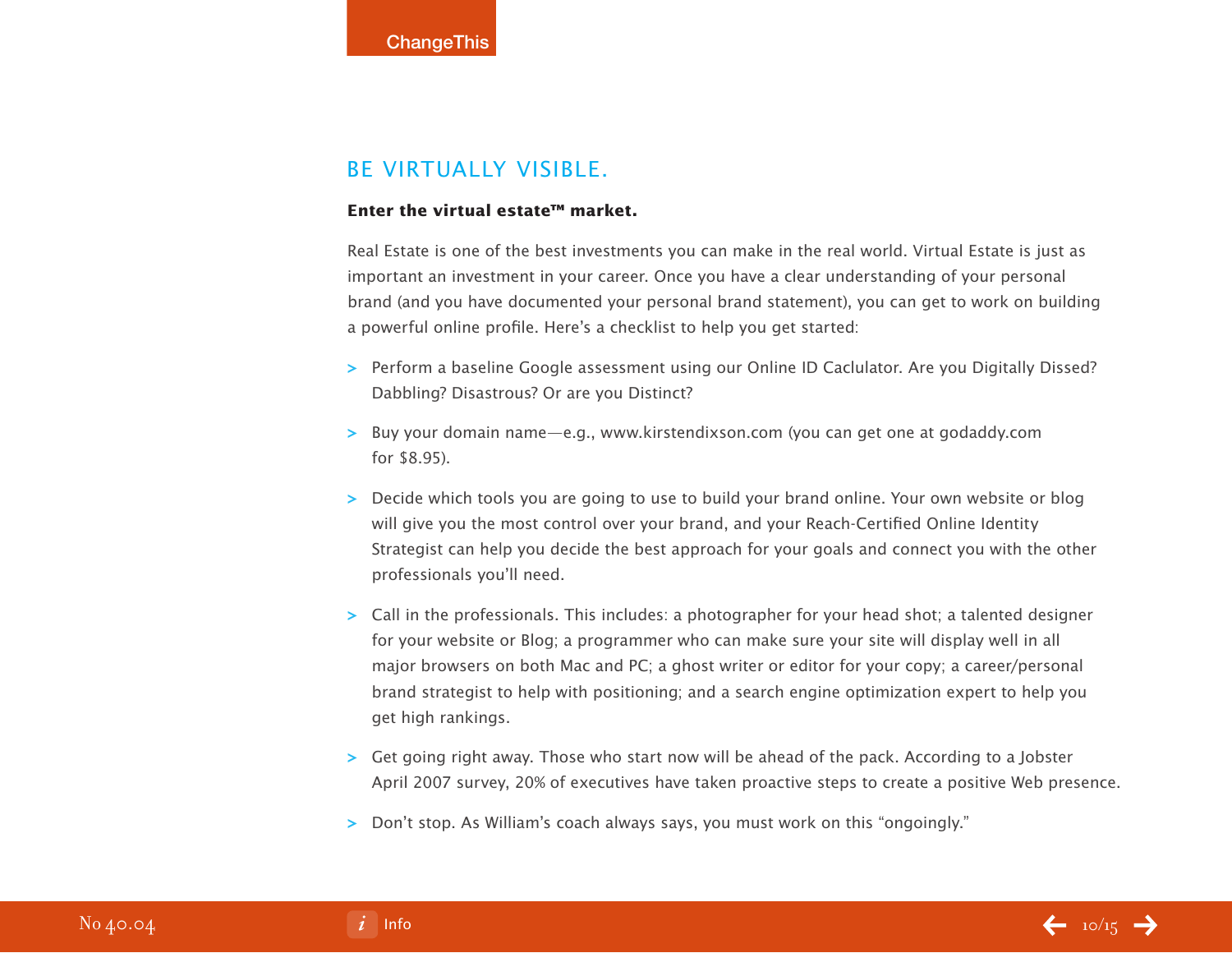### Be Virtually Visible.

#### **Enter the virtual estate™ market.**

Real Estate is one of the best investments you can make in the real world. Virtual Estate is just as important an investment in your career. Once you have a clear understanding of your personal brand (and you have documented your personal brand statement), you can get to work on building a powerful online profile. Here's a checklist to help you get started:

- **>** Perform a baseline Google assessment using our Online ID Caclulator. Are you Digitally Dissed? Dabbling? Disastrous? Or are you Distinct?
- **>** Buy your domain name—e.g., www.kirstendixson.com (you can get one at godaddy.com for \$8.95).
- **>** Decide which tools you are going to use to build your brand online. Your own website or blog will give you the most control over your brand, and your Reach-Certified Online Identity Strategist can help you decide the best approach for your goals and connect you with the other professionals you'll need.
- **>** Call in the professionals. This includes: a photographer for your head shot; a talented designer for your website or Blog; a programmer who can make sure your site will display well in all major browsers on both Mac and PC; a ghost writer or editor for your copy; a career/personal brand strategist to help with positioning; and a search engine optimization expert to help you get high rankings.
- **>** Get going right away. Those who start now will be ahead of the pack. According to a Jobster April 2007 survey, 20% of executives have taken proactive steps to create a positive Web presence.
- **>** Don't stop. As William's coach always says, you must work on this "ongoingly."

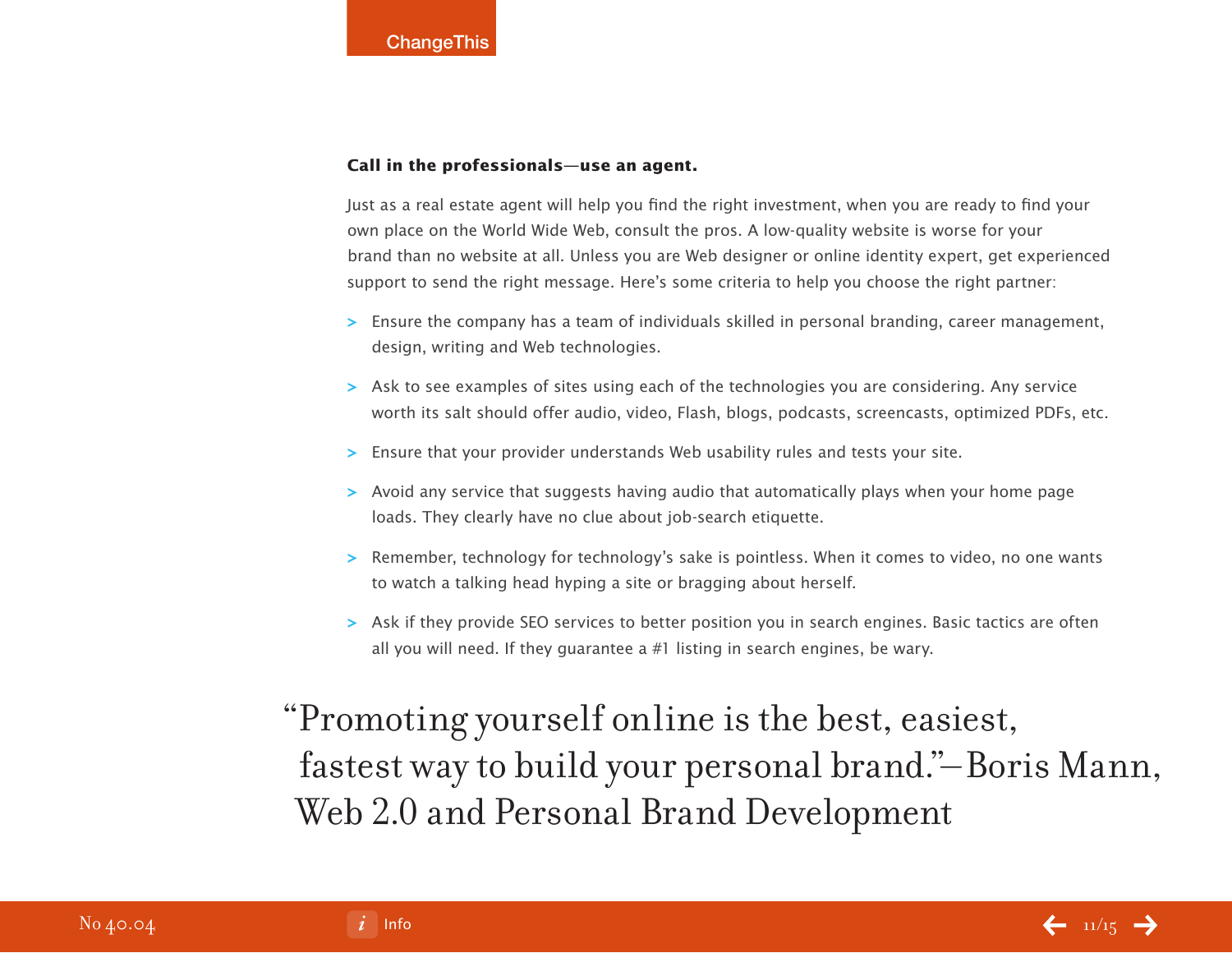#### **Call in the professionals—use an agent.**

Just as a real estate agent will help you find the right investment, when you are ready to find your own place on the World Wide Web, consult the pros. A low-quality website is worse for your brand than no website at all. Unless you are Web designer or online identity expert, get experienced support to send the right message. Here's some criteria to help you choose the right partner:

- **>** Ensure the company has a team of individuals skilled in personal branding, career management, design, writing and Web technologies.
- **>** Ask to see examples of sites using each of the technologies you are considering. Any service worth its salt should offer audio, video, Flash, blogs, podcasts, screencasts, optimized PDFs, etc.
- **>** Ensure that your provider understands Web usability rules and tests your site.
- **>** Avoid any service that suggests having audio that automatically plays when your home page loads. They clearly have no clue about job-search etiquette.
- **>** Remember, technology for technology's sake is pointless. When it comes to video, no one wants to watch a talking head hyping a site or bragging about herself.
- **>** Ask if they provide SEO services to better position you in search engines. Basic tactics are often all you will need. If they guarantee a #1 listing in search engines, be wary.

## "Promoting yourself online is the best, easiest, fastest way to build your personal brand."–Boris Mann, Web 2.0 and Personal Brand Development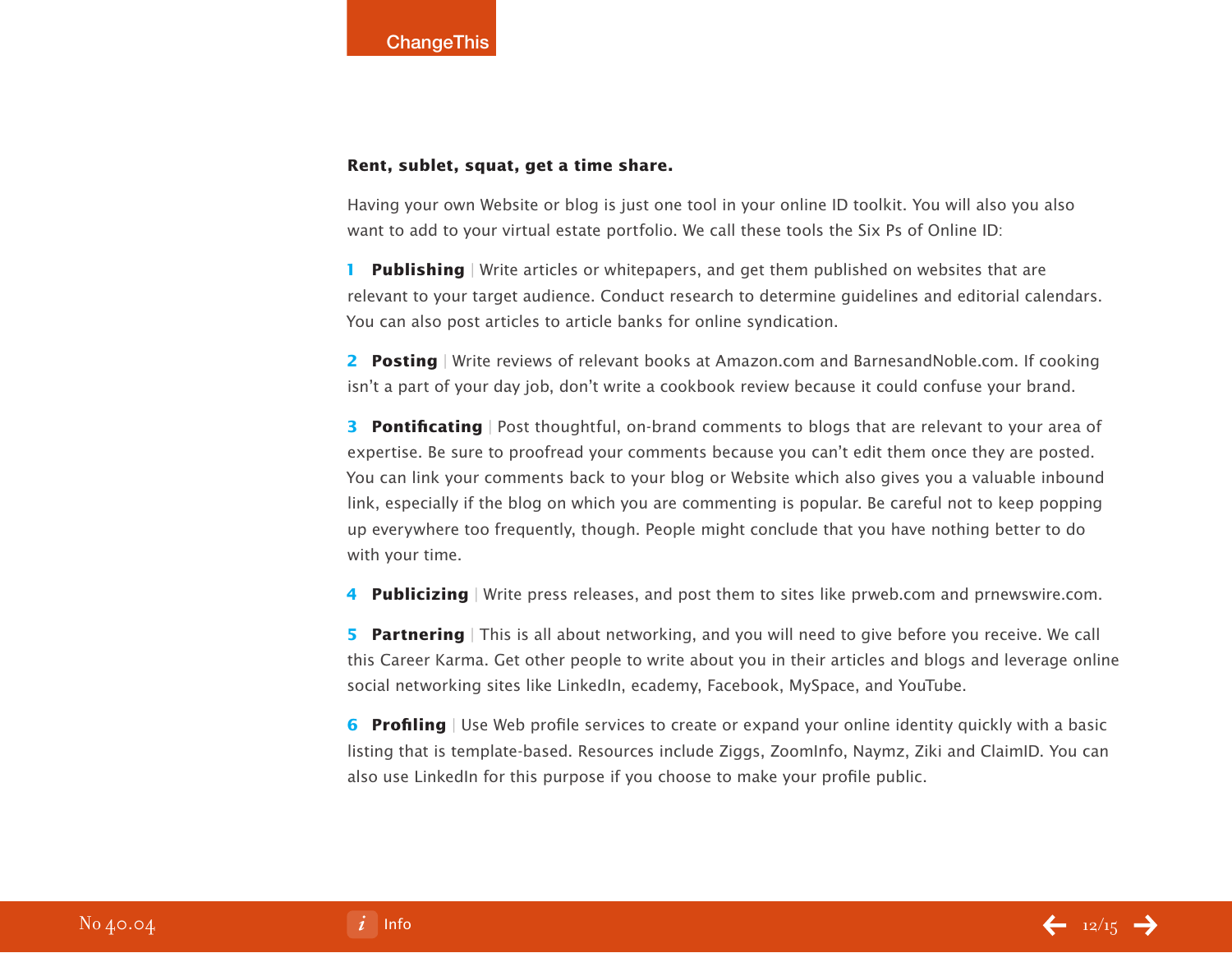#### **Rent, sublet, squat, get a time share.**

Having your own Website or blog is just one tool in your online ID toolkit. You will also you also want to add to your virtual estate portfolio. We call these tools the Six Ps of Online ID:

**1 Publishing** | Write articles or whitepapers, and get them published on websites that are relevant to your target audience. Conduct research to determine guidelines and editorial calendars. You can also post articles to article banks for online syndication.

**2 Posting** | Write reviews of relevant books at Amazon.com and BarnesandNoble.com. If cooking isn't a part of your day job, don't write a cookbook review because it could confuse your brand.

**3 Pontificating** | Post thoughtful, on-brand comments to blogs that are relevant to your area of expertise. Be sure to proofread your comments because you can't edit them once they are posted. You can link your comments back to your blog or Website which also gives you a valuable inbound link, especially if the blog on which you are commenting is popular. Be careful not to keep popping up everywhere too frequently, though. People might conclude that you have nothing better to do with your time.

**4 Publicizing** | Write press releases, and post them to sites like prweb.com and prnewswire.com.

**5 Partnering** | This is all about networking, and you will need to give before you receive. We call this Career Karma. Get other people to write about you in their articles and blogs and leverage online social networking sites like LinkedIn, ecademy, Facebook, MySpace, and YouTube.

**6 Profiling** | Use Web profile services to create or expand your online identity quickly with a basic listing that is template-based. Resources include Ziggs, ZoomInfo, Naymz, Ziki and ClaimID. You can also use LinkedIn for this purpose if you choose to make your profile public.

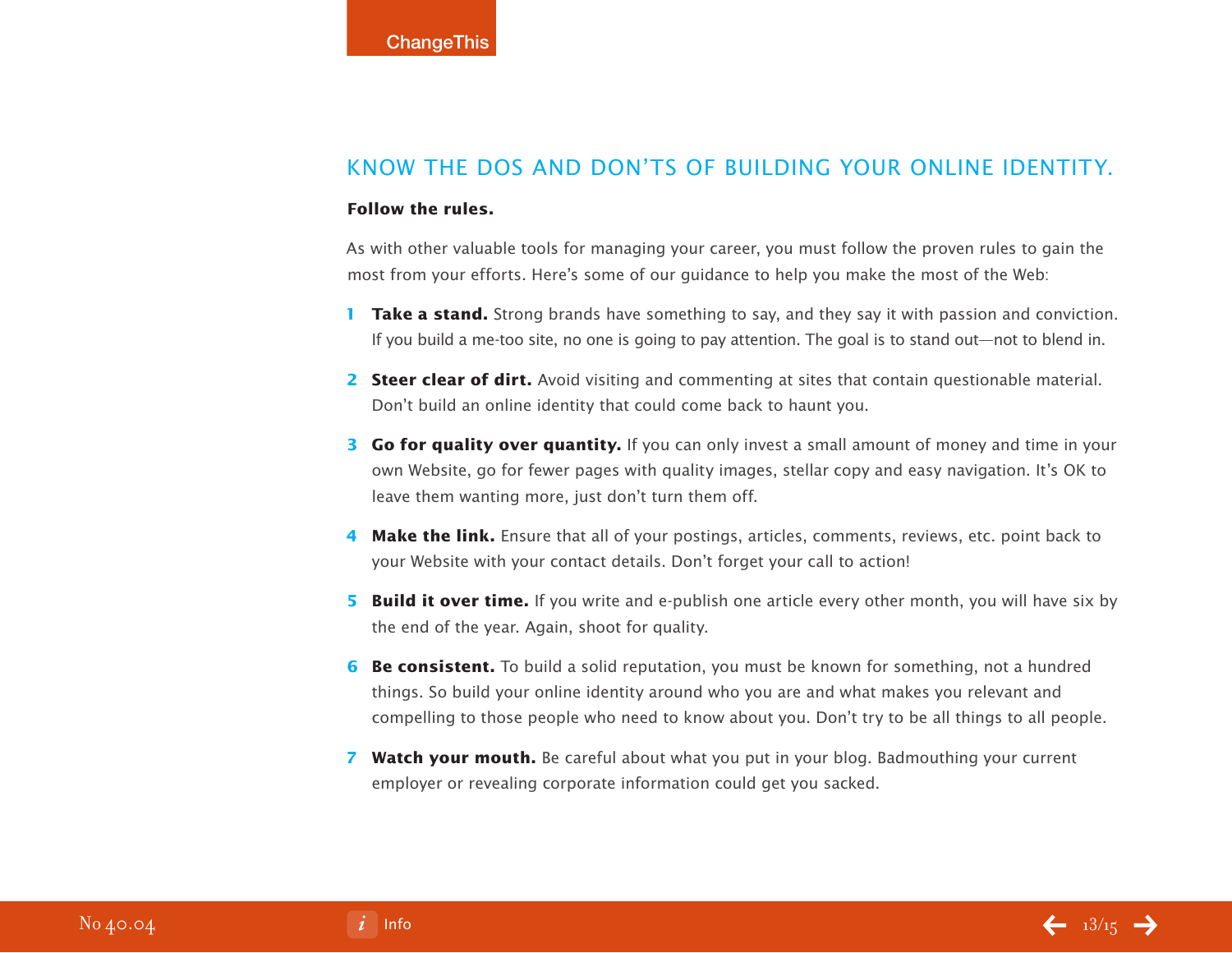### Know the Dos and Don'ts of Building Your Online Identity.

#### **Follow the rules.**

As with other valuable tools for managing your career, you must follow the proven rules to gain the most from your efforts. Here's some of our guidance to help you make the most of the Web:

- **1 Take a stand.** Strong brands have something to say, and they say it with passion and conviction. If you build a me-too site, no one is going to pay attention. The goal is to stand out—not to blend in.
- **2 Steer clear of dirt.** Avoid visiting and commenting at sites that contain questionable material. Don't build an online identity that could come back to haunt you.
- **3 Go for quality over quantity.** If you can only invest a small amount of money and time in your own Website, go for fewer pages with quality images, stellar copy and easy navigation. It's OK to leave them wanting more, just don't turn them off.
- **4 Make the link.** Ensure that all of your postings, articles, comments, reviews, etc. point back to your Website with your contact details. Don't forget your call to action!
- **5 Build it over time.** If you write and e-publish one article every other month, you will have six by the end of the year. Again, shoot for quality.
- **6 Be consistent.** To build a solid reputation, you must be known for something, not a hundred things. So build your online identity around who you are and what makes you relevant and compelling to those people who need to know about you. Don't try to be all things to all people.
- **7 Watch your mouth.** Be careful about what you put in your blog. Badmouthing your current employer or revealing corporate information could get you sacked.

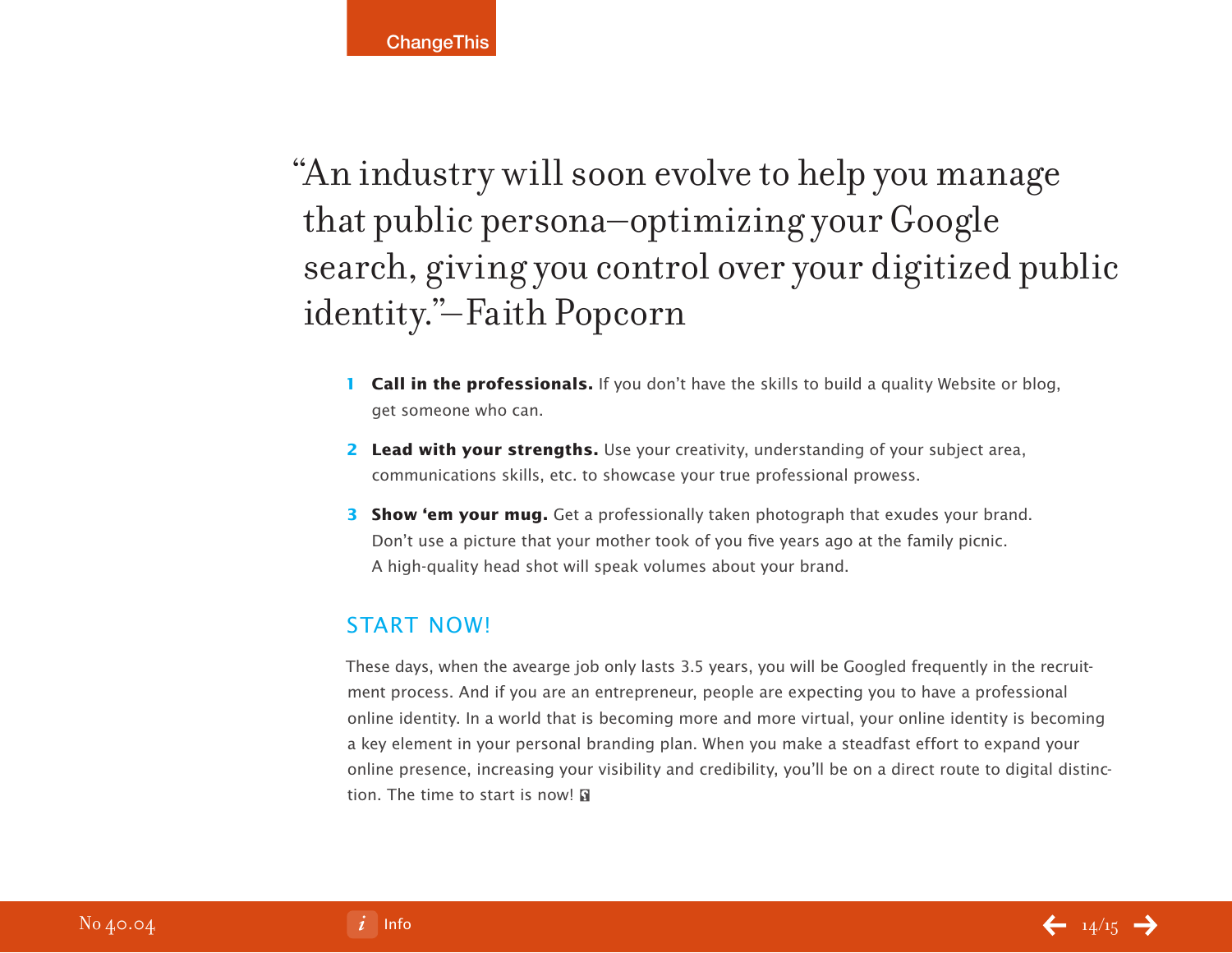"An industry will soon evolve to help you manage that public persona–optimizing your Google search, giving you control over your digitized public identity."–Faith Popcorn

- **1 Call in the professionals.** If you don't have the skills to build a quality Website or blog, get someone who can.
- **2 Lead with your strengths.** Use your creativity, understanding of your subject area, communications skills, etc. to showcase your true professional prowess.
- **3 Show 'em your mug.** Get a professionally taken photograph that exudes your brand. Don't use a picture that your mother took of you five years ago at the family picnic. A high-quality head shot will speak volumes about your brand.

## Start NOW!

These days, when the avearge job only lasts 3.5 years, you will be Googled frequently in the recruitment process. And if you are an entrepreneur, people are expecting you to have a professional online identity. In a world that is becoming more and more virtual, your online identity is becoming a key element in your personal branding plan. When you make a steadfast effort to expand your online presence, increasing your visibility and credibility, you'll be on a direct route to digital distinction. The time to start is now!